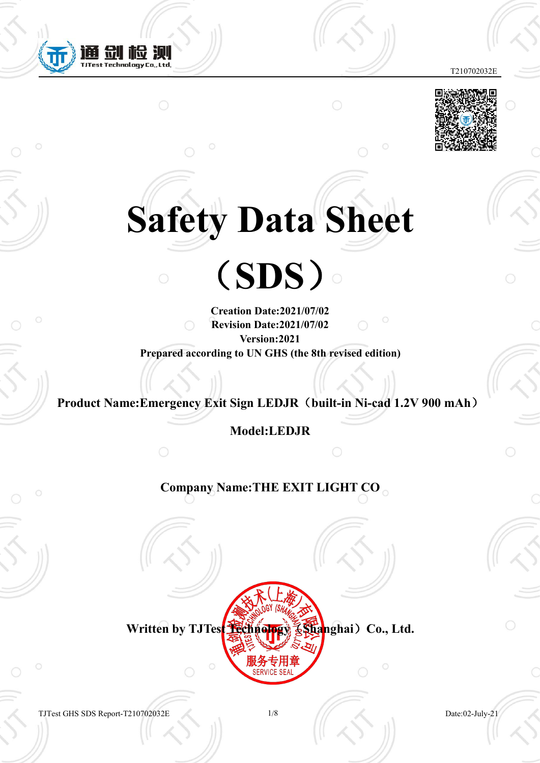



# **Safety Data Sheet**

(**SDS**)

**Creation Date:2021/07/02 Revision Date:2021/07/02 Version:2021 Prepared according to UN GHS (the 8th revised edition)**

**Product Name:Emergency Exit Sign LEDJR**(**built-in Ni-cad 1.2V 900 mAh**)

**Model:LEDJR**

**Company Name:THE EXIT LIGHT CO**



TJTest GHS SDS Report-T210702032E 1/8 Date:02-July-21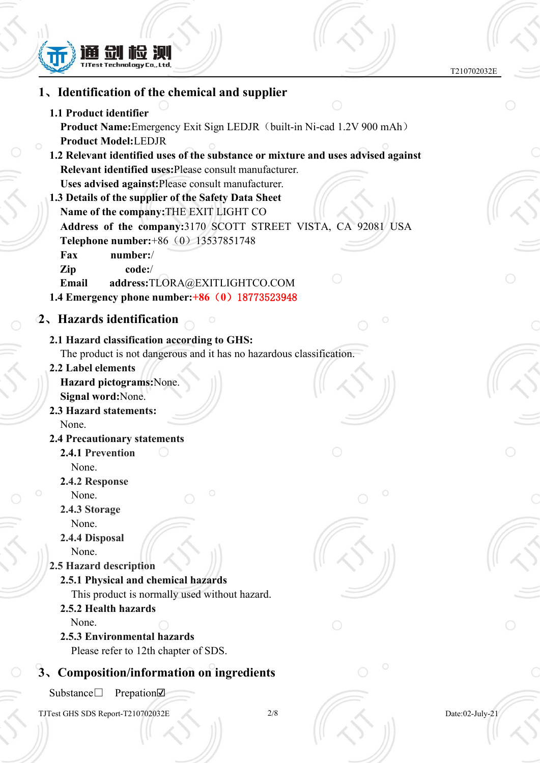

 $\diamondsuit$ 

 $\mathcal{S}$ 

 $\overline{\mathcal{S}}$ 

 $\mathcal{S}$ 

T210702032E

| 1. Identification of the chemical and supplier                                                                                                                                                                                                                                   |                 |  |
|----------------------------------------------------------------------------------------------------------------------------------------------------------------------------------------------------------------------------------------------------------------------------------|-----------------|--|
| 1.1 Product identifier<br><b>Product Name:</b> Emergency Exit Sign LEDJR (built-in Ni-cad 1.2V 900 mAh)                                                                                                                                                                          |                 |  |
| <b>Product Model:LEDJR</b><br>1.2 Relevant identified uses of the substance or mixture and uses advised against<br>Relevant identified uses: Please consult manufacturer.                                                                                                        |                 |  |
| Uses advised against: Please consult manufacturer.<br>1.3 Details of the supplier of the Safety Data Sheet<br>Name of the company: THE EXIT LIGHT CO<br>Address of the company:3170 SCOTT STREET VISTA, CA 92081 USA<br>Telephone number: +86 (0) 13537851748<br>number:/<br>Fax |                 |  |
| Zip<br>code:/<br>address:TLORA@EXITLIGHTCO.COM<br>Email<br>1.4 Emergency phone number: +86 (0) 18773523948                                                                                                                                                                       |                 |  |
| 2. Hazards identification                                                                                                                                                                                                                                                        |                 |  |
| 2.1 Hazard classification according to GHS:<br>The product is not dangerous and it has no hazardous classification.<br>2.2 Label elements<br>Hazard pictograms: None.<br>Signal word: None.                                                                                      |                 |  |
| 2.3 Hazard statements:<br>None.                                                                                                                                                                                                                                                  |                 |  |
| <b>2.4 Precautionary statements</b>                                                                                                                                                                                                                                              |                 |  |
| 2.4.1 Prevention<br>None.                                                                                                                                                                                                                                                        |                 |  |
| 2.4.2 Response<br>None.<br>2.4.3 Storage                                                                                                                                                                                                                                         |                 |  |
| None.<br>2.4.4 Disposal<br>None.<br>2.5 Hazard description                                                                                                                                                                                                                       |                 |  |
| 2.5.1 Physical and chemical hazards<br>This product is normally used without hazard.<br>2.5.2 Health hazards                                                                                                                                                                     |                 |  |
| None.<br>2.5.3 Environmental hazards<br>Please refer to 12th chapter of SDS.                                                                                                                                                                                                     |                 |  |
| 3、Composition/information on ingredients                                                                                                                                                                                                                                         | $\circ$         |  |
| Substance□<br>Prepation $\nabla$                                                                                                                                                                                                                                                 |                 |  |
| $2/8$<br>TJTest GHS SDS Report-T210702032E                                                                                                                                                                                                                                       | Date:02-July-21 |  |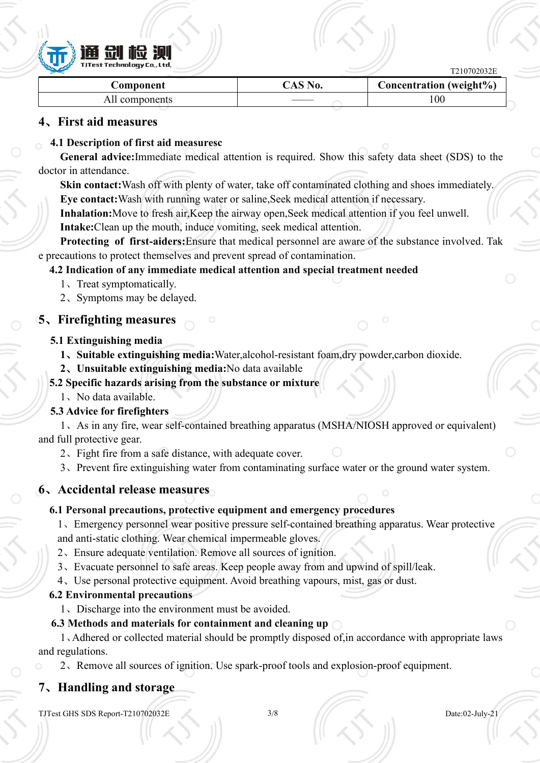

| $\blacktriangleright$ |                   | T210702032E             |  |
|-----------------------|-------------------|-------------------------|--|
| .\omponent            | $\mathcal{S}$ No. | Concentration (weight%) |  |
| All components        |                   | 100                     |  |

#### **4**、**First aid measures**

#### **4.1 Description of first aid measuresc**

**General advice:**Immediate medical attention is required. Show this safety data sheet (SDS) to the doctor in attendance.

**Skin contact:**Wash off with plenty of water, take off contaminated clothing and shoes immediately. **Eye contact:**Wash with running water or saline,Seek medical attention if necessary.

**Inhalation:**Move to fresh air,Keep the airway open,Seek medical attention if you feel unwell.

**Intake:**Clean up the mouth, induce vomiting, seek medical attention.

**Protecting of first-aiders:**Ensure that medical personnel are aware of the substance involved. Tak e precautions to protect themselves and prevent spread of contamination.

#### **4.2 Indication of any immediate medical attention and special treatment needed**

- 1、Treat symptomatically.
- 2、Symptoms may be delayed.

#### **5**、**Firefighting measures**

#### **5.1 Extinguishing media**

- **1**、**Suitable extinguishing media:**Water,alcohol-resistant foam,dry powder,carbon dioxide.
- **2**、**Unsuitable extinguishing media:**No data available

#### **5.2 Specific hazards arising from the substance or mixture**

1、No data available.

#### **5.3 Advice for firefighters**

1、As in any fire, wear self-contained breathing apparatus (MSHA/NIOSH approved or equivalent) and full protective gear.

- 2、Fight fire from a safe distance, with adequate cover.
- 3、Prevent fire extinguishing water from contaminating surface water or the ground water system.

### **6**、**Accidental release measures**

### **6.1 Personal precautions, protective equipment and emergency procedures**

1、Emergency personnel wear positive pressure self-contained breathing apparatus. Wear protective and anti-static clothing. Wear chemical impermeable gloves.

- 2、Ensure adequate ventilation. Remove all sources of ignition.
- 3、Evacuate personnel to safe areas. Keep people away from and upwind of spill/leak.
- 4、Use personal protective equipment. Avoid breathing vapours, mist, gas ordust.

#### **6.2 Environmental precautions**

1、Discharge into the environment must be avoided.

### **6.3 Methods and materials for containment and cleaning up**

1、Adhered or collected material should be promptly disposed of,in accordance with appropriate laws and regulations.

2、Remove all sources ofignition. Use spark-proof tools and explosion-proof equipment.

# **7**、**Handling and storage**

TJTest GHS SDS Report-T210702032E 3/8 Date:02-July-21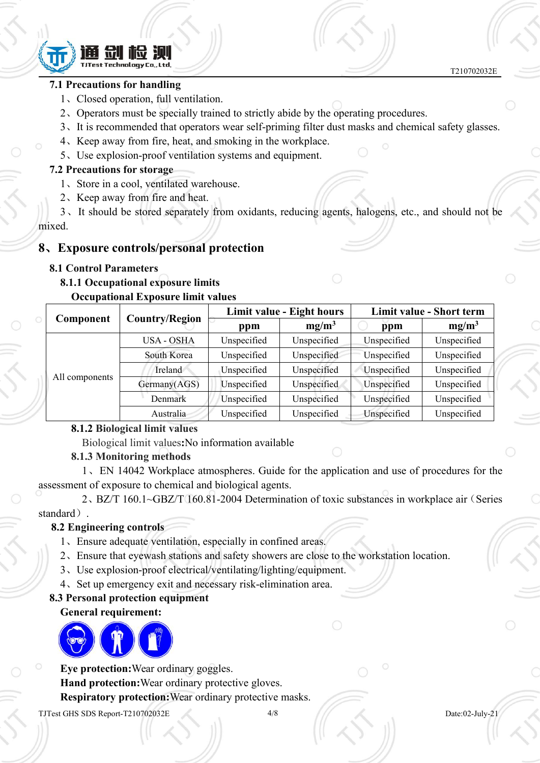

#### **7.1 Precautions for handling**

- 1、Closed operation, full ventilation.
- 2、Operators must be specially trained to strictly abide by the operating procedures.
- 3、It is recommended that operators wear self-priming filter dust masks and chemical safety glasses.
- 4、Keep away from fire, heat, and smoking in the workplace.
- 5、Use explosion-proof ventilation systems and equipment.

#### **7.2 Precautions for storage**

- 1、Store in a cool, ventilated warehouse.
- 2、Keep away from fire and heat.

3、It should be stored separately from oxidants, reducing agents, halogens, etc., and should not be mixed.

#### **8**、**Exposure controls/personal protection**

#### **8.1 Control Parameters**

# **8.1.1 Occupational exposure limits**

#### **Occupational Exposure limit values**

|                |                       |             | Limit value - Eight hours |             | Limit value - Short term |
|----------------|-----------------------|-------------|---------------------------|-------------|--------------------------|
| Component      | <b>Country/Region</b> | ppm         | $mg/m^3$                  | ppm         | $mg/m^3$                 |
|                | USA - OSHA            | Unspecified | Unspecified               | Unspecified | Unspecified              |
|                | South Korea           | Unspecified | Unspecified               | Unspecified | Unspecified              |
|                | Ireland               | Unspecified | Unspecified               | Unspecified | Unspecified              |
| All components | Germany(AGS)          | Unspecified | Unspecified               | Unspecified | Unspecified              |
|                | Denmark               | Unspecified | Unspecified               | Unspecified | Unspecified              |
|                | Australia             | Unspecified | Unspecified               | Unspecified | Unspecified              |

#### **8.1.2 Biological limit values**

Biological limit values**:**No information available

#### **8.1.3 Monitoring methods**

1、EN 14042 Workplace atmospheres. Guide for the application and use of procedures for the assessment of exposure to chemical and biological agents.

2、BZ/T 160.1~GBZ/T 160.81-2004 Determination of toxic substances in workplace air(Series standard).

#### **8.2 Engineering controls**

- 1、Ensure adequate ventilation, especially in confined areas.
- 2、Ensure that eyewash stations and safety showers are close to the workstation location.
- 3、Use explosion-proof electrical/ventilating/lighting/equipment.
- 4、Set up emergency exit and necessary risk-elimination area.

#### **8.3 Personal protection equipment**

#### **General requirement:**



**Eye protection:**Wear ordinary goggles.

**Hand protection:**Wear ordinary protective gloves.

**Respiratory protection:**Wear ordinary protective masks.

TJTest GHS SDS Report-T210702032E 4/8 Date:02-July-21

T210702032E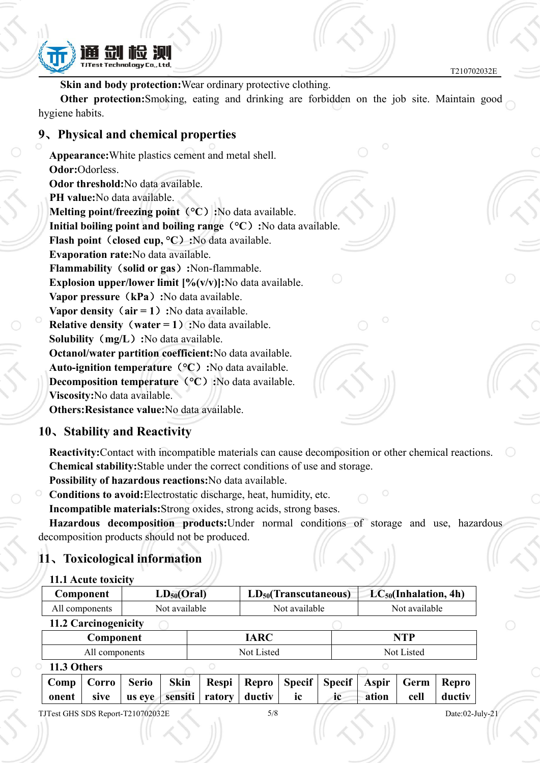

**Skin and body protection:**Wear ordinary protective clothing.

**Other protection:**Smoking, eating and drinking are forbidden on the job site. Maintain good hygiene habits.

#### **9**、**Physical and chemical properties**

**Appearance:**White plastics cement and metal shell. **Odor:**Odorless. **Odor threshold:**No data available. **PH value:**No data available. **Melting point/freezing point**(**°C**)**:**No data available. **Initial boiling point and boiling range**(**°C**)**:**No data available. **Flash point**(**closed cup, °C**)**:**No data available. **Evaporation rate:**No data available. **Flammability**(**solid or gas**)**:**Non-flammable. **Explosion upper/lower limit [%(v/v)]:**No data available. **Vapor pressure**(**kPa**)**:**No data available. **Vapor density**(**air = 1**)**:**No data available. **Relative density**(**water = 1**)**:**No data available. **Solubility**(**mg/L**)**:**No data available. **Octanol/water partition coefficient:**No data available. **Auto-ignition temperature**(**°C**)**:**No data available. **Decomposition temperature**(**°C**)**:**No data available. **Viscosity:**No data available. **Others:Resistance value:**No data available.

#### **10**、**Stability and Reactivity**

**Reactivity:**Contact with incompatible materials can cause decomposition or other chemical reactions. **Chemical stability:**Stable under the correct conditions of use and storage.

**Possibility of hazardous reactions:**No data available.

**Conditions to avoid:**Electrostatic discharge, heat, humidity, etc. **Incompatible materials:**Strong oxides, strong acids, strong bases.

**Hazardous decomposition products:**Under normal conditions of storage and use, hazardous decomposition products should not be produced.

# **11**、**Toxicological information**

| Component            | $LD_{50}(Oral)$ | $LD_{50}(Transcutaneous)$ | $LC_{50}(Inhalation, 4h)$ |
|----------------------|-----------------|---------------------------|---------------------------|
| All components       | Not available   | Not available             | Not available             |
| 11.2 Carcinogenicity |                 |                           |                           |
| Component            |                 | <b>IARC</b>               | NTP                       |
| All components       |                 | Not Listed                | Not Listed                |
| 11.3 Others          |                 |                           |                           |

| $\sim$                              |             |  |                                      |                              |                                                                                      |                      |             |
|-------------------------------------|-------------|--|--------------------------------------|------------------------------|--------------------------------------------------------------------------------------|----------------------|-------------|
|                                     |             |  |                                      |                              | Comp   Corro   Serio   Skin   Respi   Repro   Specif   Specif   Aspir   Germ   Repro |                      |             |
| $\blacksquare$ onent $\blacksquare$ | <i>sive</i> |  | $\vert$ us eve sensiti ratory ductiv | $\mathbf{i}$ ic $\mathbf{j}$ | i <b>c</b>                                                                           | $\blacksquare$ ation | cell ductiv |
|                                     |             |  |                                      |                              |                                                                                      |                      |             |

TJTest GHS SDS Report-T210702032E 5/8 Date:02-July-21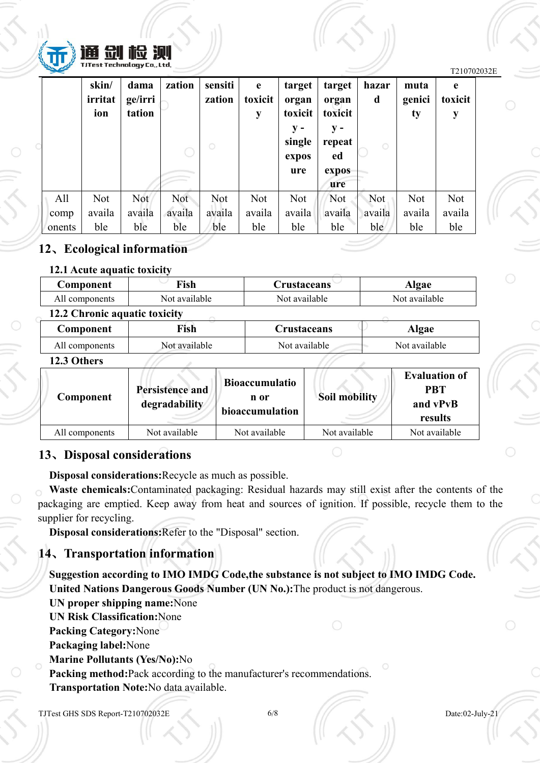

| <b>SALES</b> |            |            |        |         |            |         |         |         |        | T210702032E |  |
|--------------|------------|------------|--------|---------|------------|---------|---------|---------|--------|-------------|--|
|              | skin/      | dama       | zation | sensiti | e          | target  | target  | hazar   | muta   | e           |  |
|              | irritat    | ge/irri    |        | zation  | toxicit    | organ   | organ   | d       | genici | toxicit     |  |
|              | ion        | tation     |        |         | y          | toxicit | toxicit |         | ty     | y           |  |
|              |            |            |        |         |            | $y -$   | $y -$   |         |        |             |  |
|              |            |            |        | $\circ$ |            | single  | repeat  | $\circ$ |        |             |  |
|              |            |            |        |         |            | expos   | ed      |         |        |             |  |
|              |            |            |        |         |            | ure     | expos   |         |        |             |  |
|              |            |            |        |         |            |         | ure     |         |        |             |  |
| All          | <b>Not</b> | <b>Not</b> | Not    | Not     | <b>Not</b> | Not     | Not     | Not     | Not    | Not         |  |
| comp         | availa     | availa     | availa | availa  | availa     | availa  | availa  | availa  | availa | availa      |  |
| onents       | ble        | ble        | ble    | ble     | ble        | ble     | ble     | ble     | ble    | ble         |  |

#### **12**、**Ecological information**

#### **12.1 Acute aquatic toxicity**

| <b>Component</b>              | Fish          | <b>Crustaceans</b> | Algae         |
|-------------------------------|---------------|--------------------|---------------|
| All components                | Not available | Not available      | Not available |
| 12.2 Chronic aquatic toxicity |               |                    |               |
| Component                     | Fish          | Crustaceans        | Algae         |
| All components                | Not available | Not available      | Not available |

#### **12.3 Others**

| bioaccumulation | 1760 VURTI<br>Component | <b>Persistence and</b><br>degradability | Bioaccumulatio<br>n or | Soil mobility | <b>Evaluation of</b><br><b>PBT</b><br>and vPvB |  |
|-----------------|-------------------------|-----------------------------------------|------------------------|---------------|------------------------------------------------|--|
|                 | All components          | Not available                           | Not available          | Not available | Not available                                  |  |

### **13**、**Disposal considerations**

**Disposal considerations:**Recycle as much as possible.

**Waste chemicals:**Contaminated packaging: Residual hazards may still exist after the contents of the packaging are emptied. Keep away from heat and sources of ignition. If possible, recycle them to the supplier for recycling.

**Disposal considerations:**Refer to the "Disposal" section.

# **14**、**Transportation information**

**Suggestion according to IMO IMDG Code,the substance is not subject to IMO IMDG Code. United Nations Dangerous Goods Number (UN No.):**The product is not dangerous.

**UN proper shipping name:**None **UN Risk Classification:**None **Packing Category:**None **Packaging label:**None **Marine Pollutants (Yes/No):**No **Packing method:**Pack according to the manufacturer's recommendations. **Transportation Note:**No data available.

TJTest GHS SDS Report-T210702032E 6/8 Date:02-July-21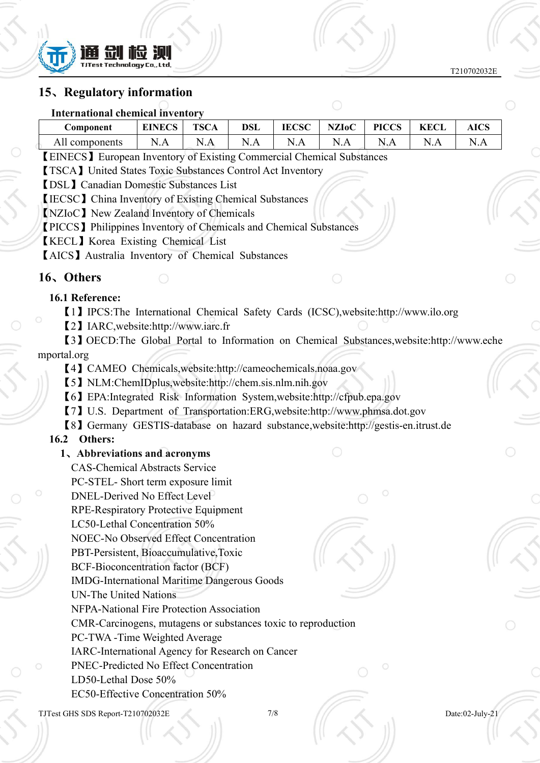

#### **15**、**Regulatory information**

| <b>International chemical inventory</b>                                                                                |             |
|------------------------------------------------------------------------------------------------------------------------|-------------|
| <b>EINECS</b><br><b>IECSC</b><br><b>PICCS</b><br><b>KECL</b><br><b>TSCA</b><br><b>DSL</b><br><b>NZIoC</b><br>Component | <b>AICS</b> |
| N.A<br>N.A<br>N.A<br>N.A<br>All components<br>N.A<br>N.A<br>N.A                                                        | N.A         |
| <b>[EINECS]</b> European Inventory of Existing Commercial Chemical Substances                                          |             |
| <b>[TSCA]</b> United States Toxic Substances Control Act Inventory                                                     |             |
| <b>[DSL]</b> Canadian Domestic Substances List                                                                         |             |
| <b>【IECSC】 China Inventory of Existing Chemical Substances</b>                                                         |             |
| <b>[NZIOC]</b> New Zealand Inventory of Chemicals                                                                      |             |
| <b>[PICCS]</b> Philippines Inventory of Chemicals and Chemical Substances                                              |             |
| <b>KECL</b> Korea Existing Chemical List                                                                               |             |
| <b>[AICS]</b> Australia Inventory of Chemical Substances                                                               |             |
| 16, Others                                                                                                             |             |
| 16.1 Reference:                                                                                                        |             |
| [1] IPCS: The International Chemical Safety Cards (ICSC), website: http://www.ilo.org                                  |             |
| [2] IARC, website: http://www.iarc.fr                                                                                  |             |
| [3] OECD:The Global Portal to Information on Chemical Substances, website:http://www.eche                              |             |
| mportal.org                                                                                                            |             |
| [4] CAMEO Chemicals, website: http://cameochemicals.noaa.gov                                                           |             |
| [5] NLM:ChemIDplus,website:http://chem.sis.nlm.nih.gov                                                                 |             |
| [6] EPA: Integrated Risk Information System, website: http://cfpub.epa.gov                                             |             |
| [7] U.S. Department of Transportation:ERG, website: http://www.phmsa.dot.gov                                           |             |
| [8] Germany GESTIS-database on hazard substance, website: http://gestis-en.itrust.de                                   |             |
| Others:<br>16.2                                                                                                        |             |
| 1. Abbreviations and acronyms                                                                                          |             |
| <b>CAS-Chemical Abstracts Service</b>                                                                                  |             |

- PC-STEL- Short term exposure limit
- DNEL-Derived No Effect Level
- RPE-Respiratory Protective Equipment
- LC50-Lethal Concentration 50%
- NOEC-No Observed Effect Concentration
- PBT-Persistent, Bioaccumulative,Toxic
- BCF-Bioconcentration factor (BCF)
- IMDG-International Maritime Dangerous Goods
- UN-The United Nations
- NFPA-National Fire Protection Association
- CMR-Carcinogens, mutagens or substances toxic to reproduction
- PC-TWA -Time Weighted Average
- IARC-International Agency for Research on Cancer
- PNEC-Predicted No Effect Concentration
- LD50-Lethal Dose 50%
	- EC50-Effective Concentration 50%

TJTest GHS SDS Report-T210702032E 7/8 Date:02-July-21